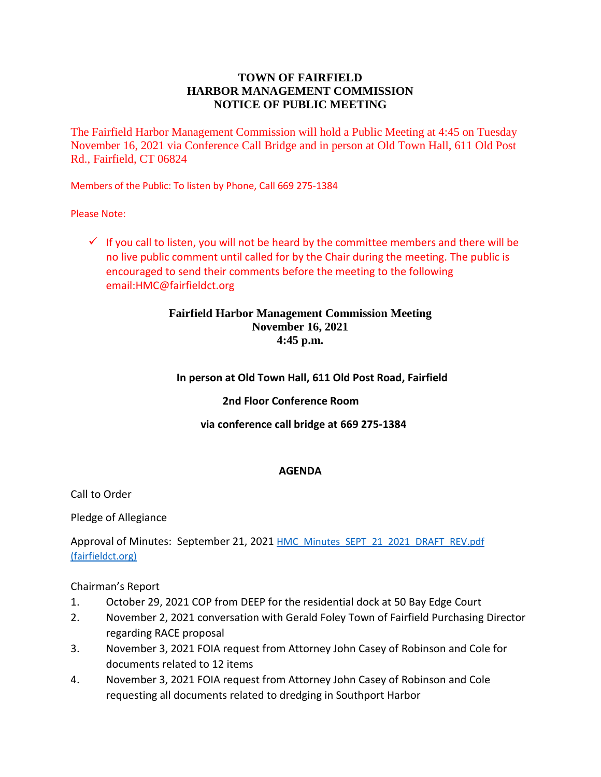# **TOWN OF FAIRFIELD HARBOR MANAGEMENT COMMISSION NOTICE OF PUBLIC MEETING**

The Fairfield Harbor Management Commission will hold a Public Meeting at 4:45 on Tuesday November 16, 2021 via Conference Call Bridge and in person at Old Town Hall, 611 Old Post Rd., Fairfield, CT 06824

Members of the Public: To listen by Phone, Call 669 275-1384

Please Note:

 $\checkmark$  If you call to listen, you will not be heard by the committee members and there will be no live public comment until called for by the Chair during the meeting. The public is encouraged to send their comments before the meeting to the following email:HMC@fairfieldct.org

# **Fairfield Harbor Management Commission Meeting November 16, 2021 4:45 p.m.**

# **In person at Old Town Hall, 611 Old Post Road, Fairfield**

### **2nd Floor Conference Room**

### **via conference call bridge at 669 275-1384**

### **AGENDA**

Call to Order

Pledge of Allegiance

Approval of Minutes: September 21, 2021 HMC\_Minutes\_SEPT\_21\_2021\_DRAFT\_REV.pdf [\(fairfieldct.org\)](https://www.fairfieldct.org/filestorage/10736/12067/17037/66861/94822/113297/HMC_Minutes_SEPT_21_2021_DRAFT_REV.pdf)

Chairman's Report

- 1. October 29, 2021 COP from DEEP for the residential dock at 50 Bay Edge Court
- 2. November 2, 2021 conversation with Gerald Foley Town of Fairfield Purchasing Director regarding RACE proposal
- 3. November 3, 2021 FOIA request from Attorney John Casey of Robinson and Cole for documents related to 12 items
- 4. November 3, 2021 FOIA request from Attorney John Casey of Robinson and Cole requesting all documents related to dredging in Southport Harbor